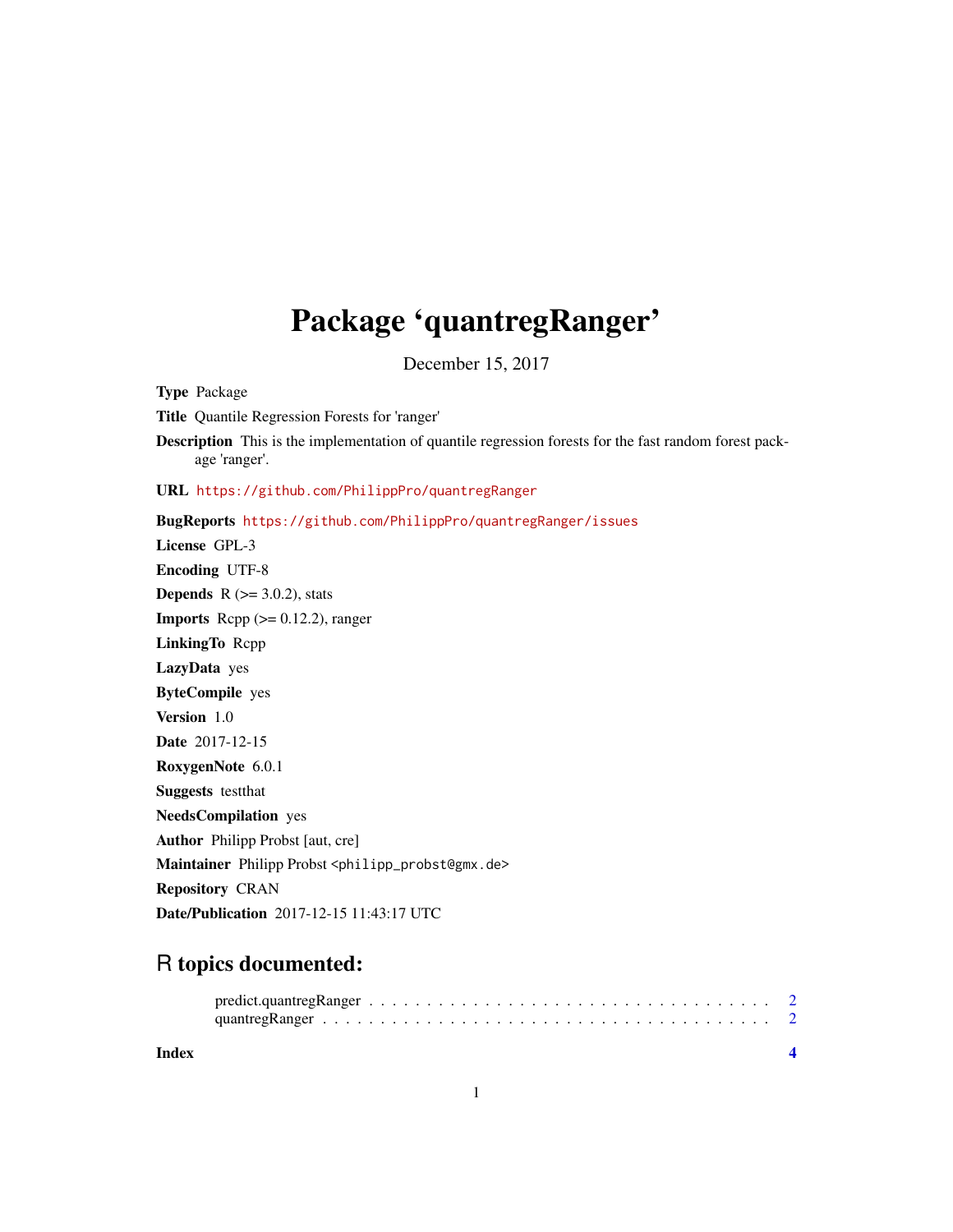## Package 'quantregRanger'

December 15, 2017

<span id="page-0-0"></span>Type Package Title Quantile Regression Forests for 'ranger' Description This is the implementation of quantile regression forests for the fast random forest package 'ranger'. URL <https://github.com/PhilippPro/quantregRanger> BugReports <https://github.com/PhilippPro/quantregRanger/issues> License GPL-3 Encoding UTF-8 **Depends** R  $(>= 3.0.2)$ , stats **Imports** Rcpp  $(>= 0.12.2)$ , ranger LinkingTo Rcpp LazyData yes ByteCompile yes Version 1.0 Date 2017-12-15 RoxygenNote 6.0.1 Suggests testthat NeedsCompilation yes Author Philipp Probst [aut, cre] Maintainer Philipp Probst <philipp\_probst@gmx.de> Repository CRAN Date/Publication 2017-12-15 11:43:17 UTC

### R topics documented:

| Index |  |
|-------|--|

1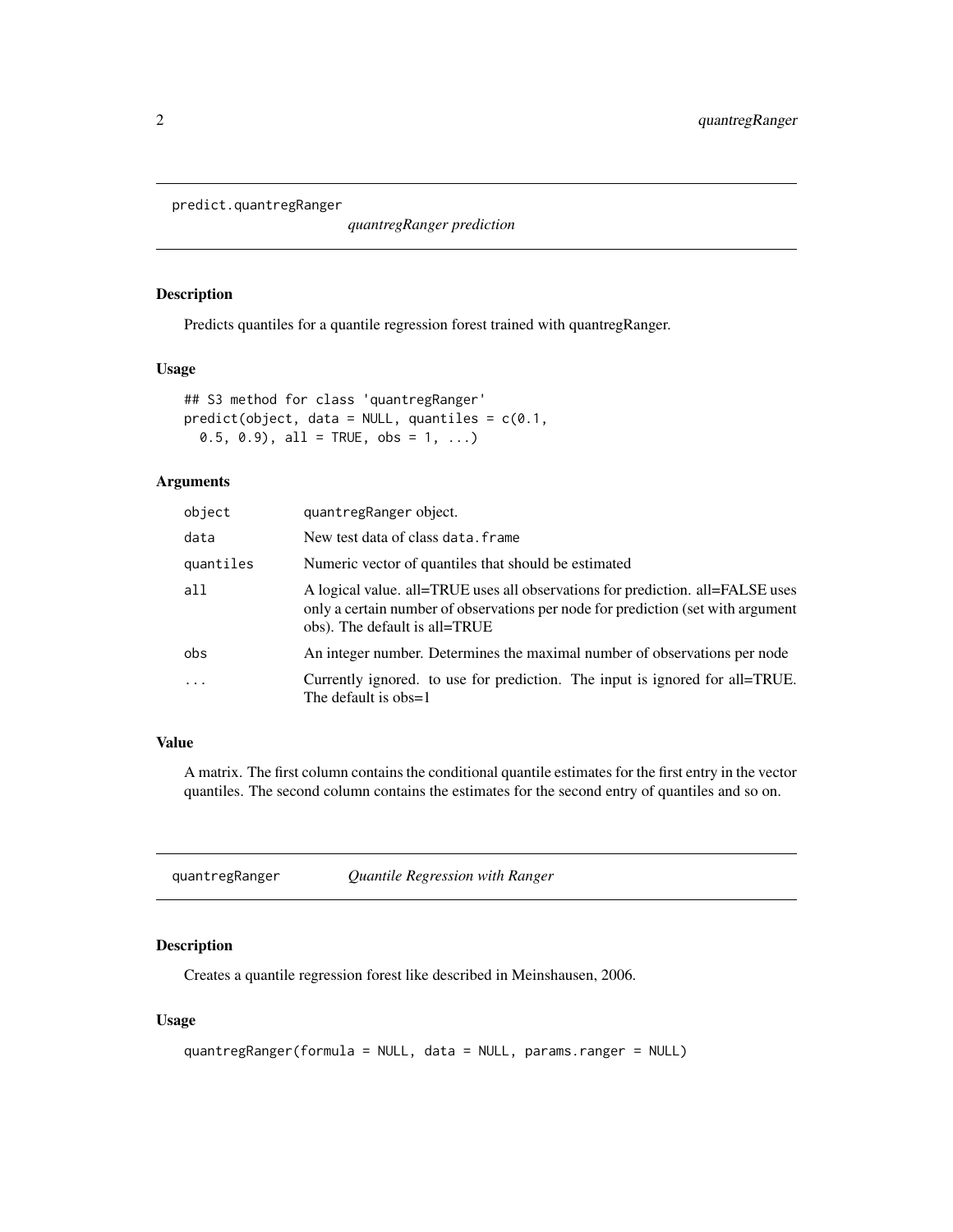<span id="page-1-1"></span><span id="page-1-0"></span>predict.quantregRanger

*quantregRanger prediction*

#### Description

Predicts quantiles for a quantile regression forest trained with quantregRanger.

#### Usage

```
## S3 method for class 'quantregRanger'
predict(object, data = NULL, quantiles = c(0.1,0.5, 0.9), all = TRUE, obs = 1, ...)
```
#### Arguments

| object    | quantregRanger object.                                                                                                                                                                              |
|-----------|-----------------------------------------------------------------------------------------------------------------------------------------------------------------------------------------------------|
| data      | New test data of class data. frame                                                                                                                                                                  |
| quantiles | Numeric vector of quantiles that should be estimated                                                                                                                                                |
| all       | A logical value. all=TRUE uses all observations for prediction. all=FALSE uses<br>only a certain number of observations per node for prediction (set with argument<br>obs). The default is all=TRUE |
| obs       | An integer number. Determines the maximal number of observations per node                                                                                                                           |
| .         | Currently ignored, to use for prediction. The input is ignored for all=TRUE.<br>The default is $obs=1$                                                                                              |

#### Value

A matrix. The first column contains the conditional quantile estimates for the first entry in the vector quantiles. The second column contains the estimates for the second entry of quantiles and so on.

quantregRanger *Quantile Regression with Ranger*

#### Description

Creates a quantile regression forest like described in Meinshausen, 2006.

#### Usage

```
quantregRanger(formula = NULL, data = NULL, params.ranger = NULL)
```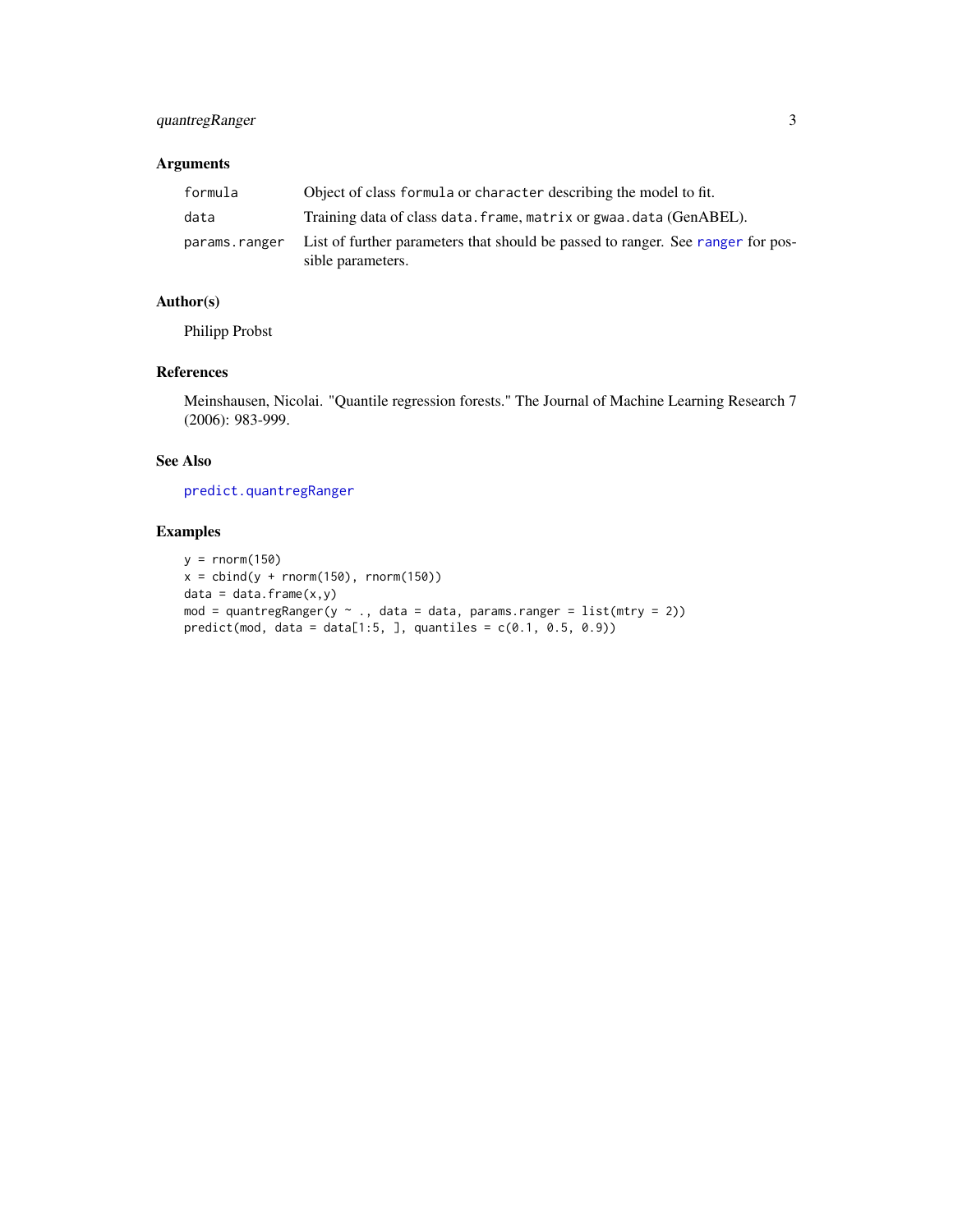#### <span id="page-2-0"></span>quantregRanger 3

#### Arguments

| formula       | Object of class formula or character describing the model to fit.                                    |
|---------------|------------------------------------------------------------------------------------------------------|
| data          | Training data of class data. frame, matrix or gwaa. data (GenABEL).                                  |
| params.ranger | List of further parameters that should be passed to ranger. See ranger for pos-<br>sible parameters. |

#### Author(s)

Philipp Probst

#### References

Meinshausen, Nicolai. "Quantile regression forests." The Journal of Machine Learning Research 7 (2006): 983-999.

#### See Also

[predict.quantregRanger](#page-1-1)

#### Examples

```
y = rnorm(150)x = \text{cbind}(y + \text{norm}(150), \text{norm}(150))data = data.frame(x,y)mod = quantregRanger(y \sim ., data = data, params.ranger = list(mtry = 2))
predict(mod, data = data[1:5, ], quantiles = c(0.1, 0.5, 0.9))
```